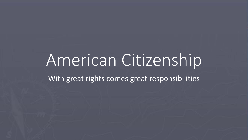# American Citizenship

With great rights comes great responsibilities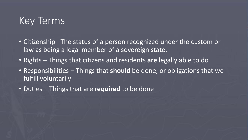#### Key Terms

- Citizenship –The status of a person recognized under the custom or law as being a legal member of a sovereign state.
- Rights Things that citizens and residents **are** legally able to do
- Responsibilities Things that **should** be done, or obligations that we fulfill voluntarily
- Duties Things that are **required** to be done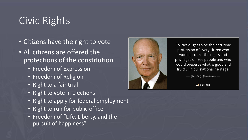# Civic Rights

- Citizens have the right to vote
- All citizens are offered the protections of the constitution
	- Freedom of Expression
	- Freedom of Religion
	- Right to a fair trial
	- Right to vote in elections
	- Right to apply for federal employment
	- Right to run for public office
	- Freedom of "Life, Liberty, and the pursuit of happiness"



Politics ought to be the part-time profession of every citizen who would protect the rights and privileges of free people and who would preserve what is good and fruitful in our national heritage.

Dwight  $D$ . Eisenhower  $-$ 

**AZQUOTES**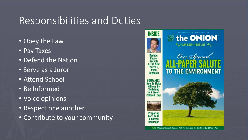## Responsibilities and Duties

- Obey the Law
- Pay Taxes
- Defend the Nation
- Serve as a Juror
- Attend School
- Be Informed
- Voice opinions
- Respect one another
- Contribute to your community

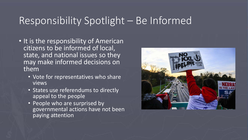## Responsibility Spotlight – Be Informed

- It is the responsibility of American citizens to be informed of local, state, and national issues so they may make informed decisions on them
	- Vote for representatives who share views
	- States use referendums to directly appeal to the people
	- People who are surprised by governmental actions have not been paying attention

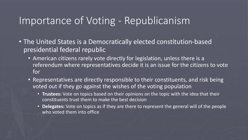#### Importance of Voting - Republicanism

- The United States is a Democratically elected constitution-based presidential federal republic
	- American citizens rarely vote directly for legislation, unless there is a referendum where representatives decide it is an issue for the citizens to vote for
	- Representatives are directly responsible to their constituents, and risk being voted out if they go against the wishes of the voting population
		- **Trustees:** Vote on topics based on their opinions on the topic with the idea that their constituents trust them to make the best decision
		- **Delegates:** Vote on topics as if they are there to represent the general will of the people who voted them into office